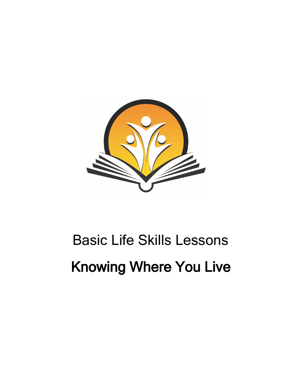

# Basic Life Skills Lessons Knowing Where You Live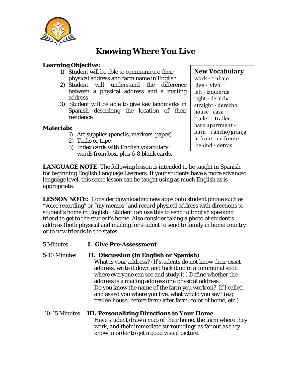

# **Knowing Where You Live**

# **Learning Objective:**

- 1) Student will be able to communicate their physical address and farm name in English
- 2) Student will understand the difference between a physical address and a mailing address
- 3) Student will be able to give key landmarks in Spanish describing the location of their residence

## **Materials:**

- 1) Art supplies (pencils, markers, paper)
- 2) Tacks or tape
- 3) Index cards with English vocabulary words from box, plus 6-8 blank cards.

# **New Vocabulary**

work - trabajo live - vivo left - izquierda right - derecha straight - derecho house - casa trailer – trailer barn apartment farm – rancho/granja in front - en frente behind - detras

**LANGUAGE NOTE**: The following lesson is intended to be taught in Spanish for beginning English Language Learners. If your students have a more advanced language level, this same lesson can be taught using as much English as is appropriate.

**LESSON NOTE:** Consider downloading new apps onto student phone such as "voice recording" or "my memos" and record physical address with directions to student's home in English. Student can use this to send to English speaking friend to get to the student's home. Also consider taking a photo of student's address (both physical and mailing for student to send to family in home country or to new friends in the states.

- 5 Minutes **I. Give Pre-Assessment**
- 5-10 Minutes **II. Discussion (in English or Spanish)** What is your address? (If students do not know their exact address, write it down and tack it up in a communal spot where everyone can see and study it.) Define whether the address is a mailing address or a physical address. Do you know the name of the farm you work on? If I called and asked you where you live, what would you say? (e.g.
	- trailer/house, before farm/after farm, color of home, etc.)
- 10-15 Minutes **III. Personalizing Directions to Your Home** Have student draw a map of their home, the farm where they work, and their immediate surroundings as far out as they know in order to get a good visual picture.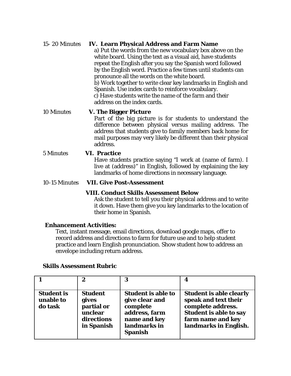# 15- 20 Minutes **IV. Learn Physical Address and Farm Name**

a) Put the words from the new vocabulary box above on the white board. Using the text as a visual aid, have students repeat the English after you say the Spanish word followed by the English word. Practice a few times until students can pronounce all the words on the white board. b) Work together to write clear key landmarks in English and Spanish. Use index cards to reinforce vocabulary. c) Have students write the name of the farm and their address on the index cards.

## 10 Minutes **V. The Bigger Picture**

Part of the big picture is for students to understand the difference between physical versus mailing address. The address that students give to family members back home for mail purposes may very likely be different than their physical address.

# 5 Minutes **VI. Practice** Have students practice saying "I work at (name of farm). I live at (address)" in English, followed by explaining the key landmarks of home directions in necessary language.

## 10-15 Minutes **VII. Give Post-Assessment**

## **VIII. Conduct Skills Assessment Below**

Ask the student to tell you their physical address and to write it down. Have them give you key landmarks to the location of their home in Spanish.

## **Enhancement Activities:**

Text, instant message, email directions, download google maps, offer to record address and directions to farm for future use and to help student practice and learn English pronunciation. Show student how to address an envelope including return address.

|                                           | 2                                                                            | 3                                                                                                                          | 4                                                                                                                                                          |
|-------------------------------------------|------------------------------------------------------------------------------|----------------------------------------------------------------------------------------------------------------------------|------------------------------------------------------------------------------------------------------------------------------------------------------------|
| <b>Student is</b><br>unable to<br>do task | <b>Student</b><br>gives<br>partial or<br>unclear<br>directions<br>in Spanish | <b>Student is able to</b><br>give clear and<br>complete<br>address, farm<br>name and key<br>landmarks in<br><b>Spanish</b> | <b>Student is able clearly</b><br>speak and text their<br>complete address.<br><b>Student is able to say</b><br>farm name and key<br>landmarks in English. |

#### **Skills Assessment Rubric**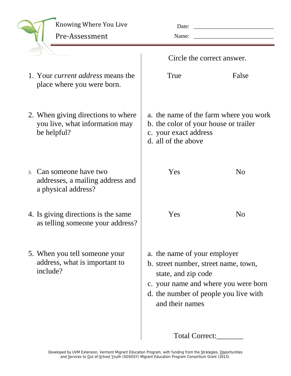|                                                                                     | Knowing Where You Live<br>Pre-Assessment                                        | Date:<br>Name:                                                                                                                                                                                  |                |
|-------------------------------------------------------------------------------------|---------------------------------------------------------------------------------|-------------------------------------------------------------------------------------------------------------------------------------------------------------------------------------------------|----------------|
|                                                                                     |                                                                                 | Circle the correct answer.                                                                                                                                                                      |                |
|                                                                                     | 1. Your <i>current address</i> means the<br>place where you were born.          | True                                                                                                                                                                                            | False          |
| 2. When giving directions to where<br>you live, what information may<br>be helpful? |                                                                                 | a. the name of the farm where you work<br>b. the color of your house or trailer<br>c. your exact address<br>d. all of the above                                                                 |                |
| $\mathfrak{Z}$ .                                                                    | Can someone have two<br>addresses, a mailing address and<br>a physical address? | Yes                                                                                                                                                                                             | N <sub>0</sub> |
|                                                                                     | 4. Is giving directions is the same<br>as telling someone your address?         | Yes                                                                                                                                                                                             | N <sub>o</sub> |
|                                                                                     | 5. When you tell someone your<br>address, what is important to<br>include?      | a. the name of your employer<br>b. street number, street name, town,<br>state, and zip code<br>c. your name and where you were born<br>d. the number of people you live with<br>and their names |                |
|                                                                                     |                                                                                 | <b>Total Correct:</b>                                                                                                                                                                           |                |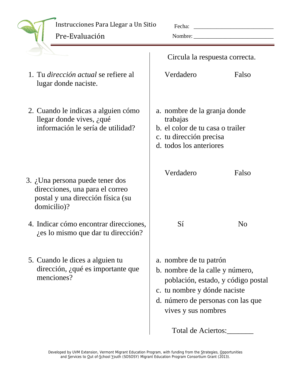# Instrucciones Para Llegar a Un Sitio

Pre‐Evaluación 

Fecha: \_\_\_\_\_\_\_\_\_\_\_\_\_\_\_\_\_\_\_\_\_\_\_\_\_\_\_\_

Nombre: \_\_\_\_\_\_\_\_\_\_\_\_\_\_\_\_\_\_\_\_\_\_\_\_\_\_\_\_

|                                                                                                                        |                                                                                                                                                                                             | Circula la respuesta correcta. |  |
|------------------------------------------------------------------------------------------------------------------------|---------------------------------------------------------------------------------------------------------------------------------------------------------------------------------------------|--------------------------------|--|
| 1. Tu <i>dirección actual</i> se refiere al<br>lugar donde naciste.                                                    | Verdadero                                                                                                                                                                                   | Falso                          |  |
| 2. Cuando le indicas a alguien cómo<br>llegar donde vives, $i$ qué<br>información le sería de utilidad?                | a. nombre de la granja donde<br>trabajas<br>b. el color de tu casa o trailer<br>c. tu dirección precisa<br>d. todos los anteriores                                                          |                                |  |
| 3. ¿Una persona puede tener dos<br>direcciones, una para el correo<br>postal y una dirección física (su<br>domicilio)? | Verdadero                                                                                                                                                                                   | Falso                          |  |
| 4. Indicar cómo encontrar direcciones,<br>ies lo mismo que dar tu dirección?                                           | Sí                                                                                                                                                                                          | N <sub>0</sub>                 |  |
| 5. Cuando le dices a alguien tu<br>dirección, ¿qué es importante que<br>menciones?                                     | a. nombre de tu patrón<br>b. nombre de la calle y número,<br>población, estado, y código postal<br>c. tu nombre y dónde naciste<br>d. número de personas con las que<br>vives y sus nombres |                                |  |
|                                                                                                                        | Total de Aciertos:                                                                                                                                                                          |                                |  |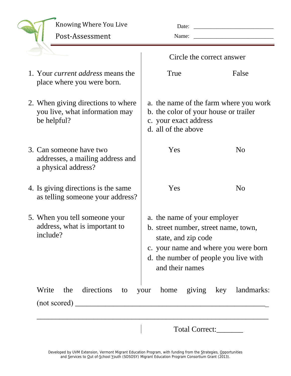|       | Knowing Where You Live<br>Post-Assessment                                           | Date:<br>Name:                                                                                                                                                                                  | $\begin{tabular}{ccccc} \multicolumn{2}{c }{\textbf{1} & \textbf{2} & \textbf{3} & \textbf{4} & \textbf{5} & \textbf{5} & \textbf{6} & \textbf{6} & \textbf{7} & \textbf{8} & \textbf{8} & \textbf{9} & \textbf{10} & \textbf{10} & \textbf{10} & \textbf{10} & \textbf{10} & \textbf{10} & \textbf{10} & \textbf{10} & \textbf{10} & \textbf{10} & \textbf{10} & \textbf{10} & \textbf{10} & \textbf{10} & \textbf{1$ |
|-------|-------------------------------------------------------------------------------------|-------------------------------------------------------------------------------------------------------------------------------------------------------------------------------------------------|------------------------------------------------------------------------------------------------------------------------------------------------------------------------------------------------------------------------------------------------------------------------------------------------------------------------------------------------------------------------------------------------------------------------|
|       |                                                                                     | Circle the correct answer                                                                                                                                                                       |                                                                                                                                                                                                                                                                                                                                                                                                                        |
|       | 1. Your <i>current address</i> means the<br>place where you were born.              | True                                                                                                                                                                                            | False                                                                                                                                                                                                                                                                                                                                                                                                                  |
|       | 2. When giving directions to where<br>you live, what information may<br>be helpful? | a. the name of the farm where you work<br>b. the color of your house or trailer<br>c. your exact address<br>d. all of the above                                                                 |                                                                                                                                                                                                                                                                                                                                                                                                                        |
|       | 3. Can someone have two<br>addresses, a mailing address and<br>a physical address?  | Yes                                                                                                                                                                                             | N <sub>o</sub>                                                                                                                                                                                                                                                                                                                                                                                                         |
|       | 4. Is giving directions is the same<br>as telling someone your address?             | Yes                                                                                                                                                                                             | N <sub>o</sub>                                                                                                                                                                                                                                                                                                                                                                                                         |
|       | 5. When you tell someone your<br>address, what is important to<br>include?          | a. the name of your employer<br>b. street number, street name, town,<br>state, and zip code<br>c. your name and where you were born<br>d. the number of people you live with<br>and their names |                                                                                                                                                                                                                                                                                                                                                                                                                        |
| Write | directions<br>the<br>to                                                             | your                                                                                                                                                                                            | home giving key landmarks:                                                                                                                                                                                                                                                                                                                                                                                             |
|       |                                                                                     |                                                                                                                                                                                                 | Total Correct:                                                                                                                                                                                                                                                                                                                                                                                                         |

Developed by UVM Extension, Vermont Migrant Education Program, with funding from the Strategies, Opportunities and Services to Out of-School Youth (SOSOSY) Migrant Education Program Consortium Grant (2013).